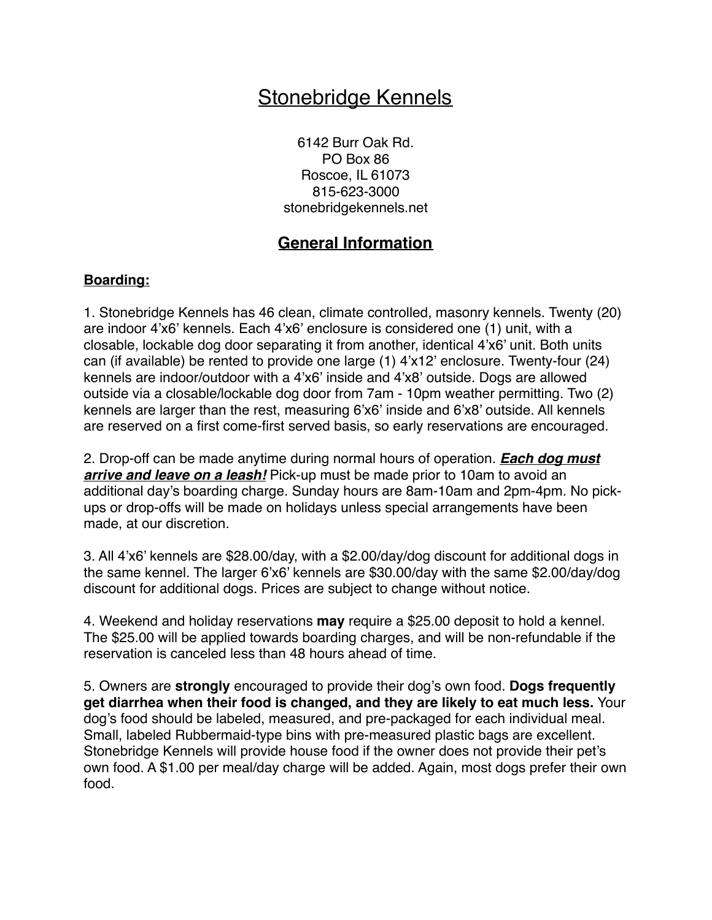# Stonebridge Kennels

6142 Burr Oak Rd. PO Box 86 Roscoe, IL 61073 815-623-3000 stonebridgekennels.net

## **General Information**

#### **Boarding:**

1. Stonebridge Kennels has 46 clean, climate controlled, masonry kennels. Twenty (20) are indoor 4'x6' kennels. Each 4'x6' enclosure is considered one (1) unit, with a closable, lockable dog door separating it from another, identical 4'x6' unit. Both units can (if available) be rented to provide one large (1) 4'x12' enclosure. Twenty-four (24) kennels are indoor/outdoor with a 4'x6' inside and 4'x8' outside. Dogs are allowed outside via a closable/lockable dog door from 7am - 10pm weather permitting. Two (2) kennels are larger than the rest, measuring 6'x6' inside and 6'x8' outside. All kennels are reserved on a first come-first served basis, so early reservations are encouraged.

2. Drop-off can be made anytime during normal hours of operation. *Each dog must arrive and leave on a leash!* Pick-up must be made prior to 10am to avoid an additional day's boarding charge. Sunday hours are 8am-10am and 2pm-4pm. No pickups or drop-offs will be made on holidays unless special arrangements have been made, at our discretion.

3. All 4'x6' kennels are \$28.00/day, with a \$2.00/day/dog discount for additional dogs in the same kennel. The larger 6'x6' kennels are \$30.00/day with the same \$2.00/day/dog discount for additional dogs. Prices are subject to change without notice.

4. Weekend and holiday reservations **may** require a \$25.00 deposit to hold a kennel. The \$25.00 will be applied towards boarding charges, and will be non-refundable if the reservation is canceled less than 48 hours ahead of time.

5. Owners are **strongly** encouraged to provide their dog's own food. **Dogs frequently get diarrhea when their food is changed, and they are likely to eat much less.** Your dog's food should be labeled, measured, and pre-packaged for each individual meal. Small, labeled Rubbermaid-type bins with pre-measured plastic bags are excellent. Stonebridge Kennels will provide house food if the owner does not provide their pet's own food. A \$1.00 per meal/day charge will be added. Again, most dogs prefer their own food.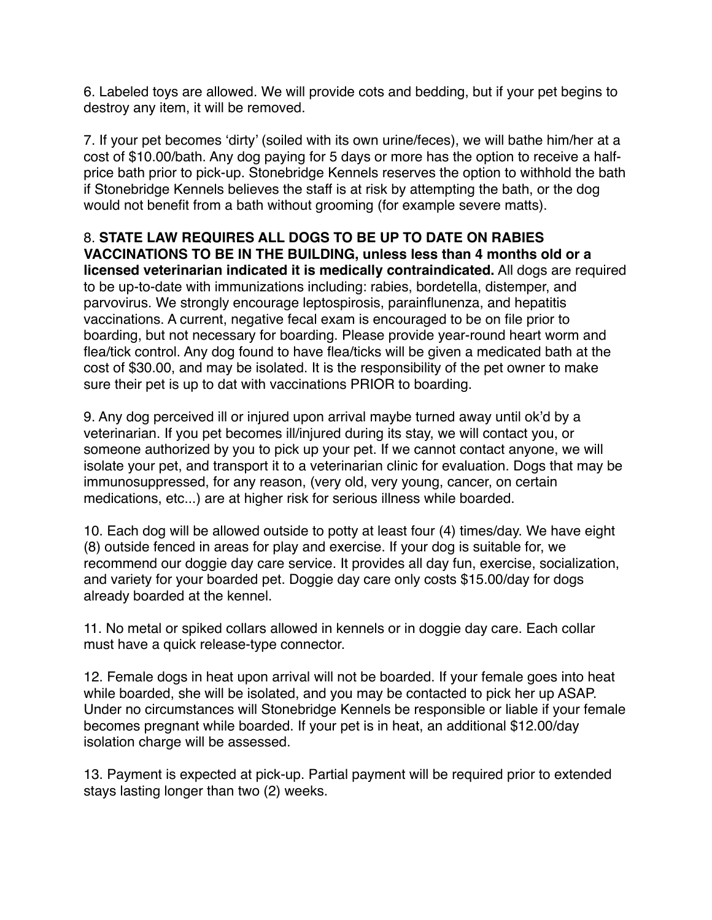6. Labeled toys are allowed. We will provide cots and bedding, but if your pet begins to destroy any item, it will be removed.

7. If your pet becomes 'dirty' (soiled with its own urine/feces), we will bathe him/her at a cost of \$10.00/bath. Any dog paying for 5 days or more has the option to receive a halfprice bath prior to pick-up. Stonebridge Kennels reserves the option to withhold the bath if Stonebridge Kennels believes the staff is at risk by attempting the bath, or the dog would not benefit from a bath without grooming (for example severe matts).

8. **STATE LAW REQUIRES ALL DOGS TO BE UP TO DATE ON RABIES VACCINATIONS TO BE IN THE BUILDING, unless less than 4 months old or a licensed veterinarian indicated it is medically contraindicated.** All dogs are required to be up-to-date with immunizations including: rabies, bordetella, distemper, and parvovirus. We strongly encourage leptospirosis, parainflunenza, and hepatitis vaccinations. A current, negative fecal exam is encouraged to be on file prior to boarding, but not necessary for boarding. Please provide year-round heart worm and flea/tick control. Any dog found to have flea/ticks will be given a medicated bath at the cost of \$30.00, and may be isolated. It is the responsibility of the pet owner to make sure their pet is up to dat with vaccinations PRIOR to boarding.

9. Any dog perceived ill or injured upon arrival maybe turned away until ok'd by a veterinarian. If you pet becomes ill/injured during its stay, we will contact you, or someone authorized by you to pick up your pet. If we cannot contact anyone, we will isolate your pet, and transport it to a veterinarian clinic for evaluation. Dogs that may be immunosuppressed, for any reason, (very old, very young, cancer, on certain medications, etc...) are at higher risk for serious illness while boarded.

10. Each dog will be allowed outside to potty at least four (4) times/day. We have eight (8) outside fenced in areas for play and exercise. If your dog is suitable for, we recommend our doggie day care service. It provides all day fun, exercise, socialization, and variety for your boarded pet. Doggie day care only costs \$15.00/day for dogs already boarded at the kennel.

11. No metal or spiked collars allowed in kennels or in doggie day care. Each collar must have a quick release-type connector.

12. Female dogs in heat upon arrival will not be boarded. If your female goes into heat while boarded, she will be isolated, and you may be contacted to pick her up ASAP. Under no circumstances will Stonebridge Kennels be responsible or liable if your female becomes pregnant while boarded. If your pet is in heat, an additional \$12.00/day isolation charge will be assessed.

13. Payment is expected at pick-up. Partial payment will be required prior to extended stays lasting longer than two (2) weeks.